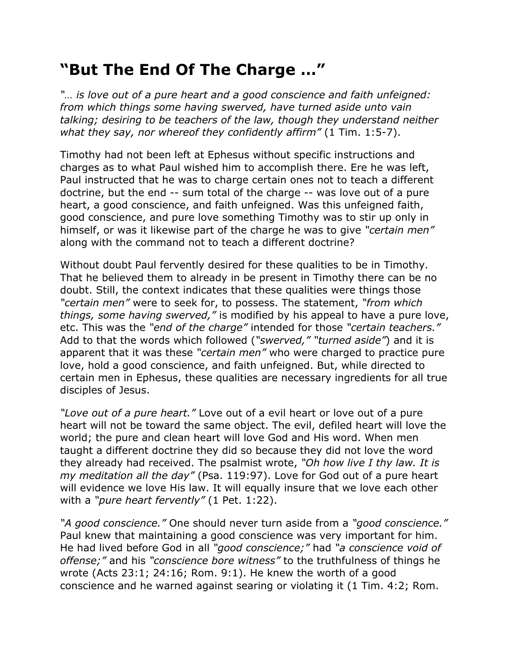## **"But The End Of The Charge …"**

*"… is love out of a pure heart and a good conscience and faith unfeigned: from which things some having swerved, have turned aside unto vain talking; desiring to be teachers of the law, though they understand neither what they say, nor whereof they confidently affirm"* (1 Tim. 1:5-7).

Timothy had not been left at Ephesus without specific instructions and charges as to what Paul wished him to accomplish there. Ere he was left, Paul instructed that he was to charge certain ones not to teach a different doctrine, but the end -- sum total of the charge -- was love out of a pure heart, a good conscience, and faith unfeigned. Was this unfeigned faith, good conscience, and pure love something Timothy was to stir up only in himself, or was it likewise part of the charge he was to give *"certain men"* along with the command not to teach a different doctrine?

Without doubt Paul fervently desired for these qualities to be in Timothy. That he believed them to already in be present in Timothy there can be no doubt. Still, the context indicates that these qualities were things those *"certain men"* were to seek for, to possess. The statement, *"from which things, some having swerved,"* is modified by his appeal to have a pure love, etc. This was the *"end of the charge"* intended for those *"certain teachers."* Add to that the words which followed (*"swerved," "turned aside"*) and it is apparent that it was these *"certain men"* who were charged to practice pure love, hold a good conscience, and faith unfeigned. But, while directed to certain men in Ephesus, these qualities are necessary ingredients for all true disciples of Jesus.

*"Love out of a pure heart."* Love out of a evil heart or love out of a pure heart will not be toward the same object. The evil, defiled heart will love the world; the pure and clean heart will love God and His word. When men taught a different doctrine they did so because they did not love the word they already had received. The psalmist wrote, *"Oh how live I thy law. It is my meditation all the day"* (Psa. 119:97). Love for God out of a pure heart will evidence we love His law. It will equally insure that we love each other with a *"pure heart fervently"* (1 Pet. 1:22).

*"A good conscience."* One should never turn aside from a *"good conscience."* Paul knew that maintaining a good conscience was very important for him. He had lived before God in all *"good conscience;"* had *"a conscience void of offense;"* and his *"conscience bore witness"* to the truthfulness of things he wrote (Acts 23:1; 24:16; Rom. 9:1). He knew the worth of a good conscience and he warned against searing or violating it (1 Tim. 4:2; Rom.